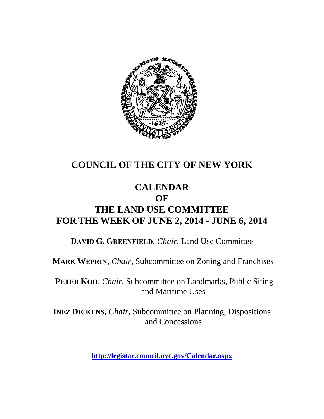

## **COUNCIL OF THE CITY OF NEW YORK**

## **CALENDAR OF THE LAND USE COMMITTEE FOR THE WEEK OF JUNE 2, 2014 - JUNE 6, 2014**

**DAVID G. GREENFIELD**, *Chair*, Land Use Committee

**MARK WEPRIN**, *Chair*, Subcommittee on Zoning and Franchises

**PETER KOO**, *Chair*, Subcommittee on Landmarks, Public Siting and Maritime Uses

**INEZ DICKENS**, *Chair,* Subcommittee on Planning, Dispositions and Concessions

**<http://legistar.council.nyc.gov/Calendar.aspx>**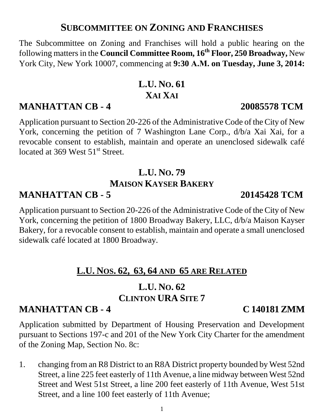### **SUBCOMMITTEE ON ZONING AND FRANCHISES**

The Subcommittee on Zoning and Franchises will hold a public hearing on the following mattersin the **Council Committee Room, 16th Floor, 250 Broadway,** New York City, New York 10007, commencing at **9:30 A.M. on Tuesday, June 3, 2014:**

# **L.U. NO. 61 XAI XAI**

## **MANHATTAN CB - 4 20085578 TCM**

Application pursuant to Section 20-226 of the Administrative Code of the City of New York, concerning the petition of 7 Washington Lane Corp., d/b/a Xai Xai, for a revocable consent to establish, maintain and operate an unenclosed sidewalk café located at 369 West  $51<sup>st</sup>$  Street.

# **L.U. NO. 79 MAISON KAYSER BAKERY**

# **MANHATTAN CB - 5 20145428 TCM**

Application pursuant to Section 20-226 of the Administrative Code of the City of New York, concerning the petition of 1800 Broadway Bakery, LLC, d/b/a Maison Kayser Bakery, for a revocable consent to establish, maintain and operate a small unenclosed sidewalk café located at 1800 Broadway.

## **L.U. NOS. 62, 63, 64 AND 65 ARE RELATED**

### **L.U. NO. 62 CLINTON URA SITE 7**

## **MANHATTAN CB - 4 C 140181 ZMM**

Application submitted by Department of Housing Preservation and Development pursuant to Sections 197-c and 201 of the New York City Charter for the amendment of the Zoning Map, Section No. 8c:

1. changing from an R8 District to an R8A District property bounded by West 52nd Street, a line 225 feet easterly of 11th Avenue, a line midway between West 52nd Street and West 51st Street, a line 200 feet easterly of 11th Avenue, West 51st Street, and a line 100 feet easterly of 11th Avenue;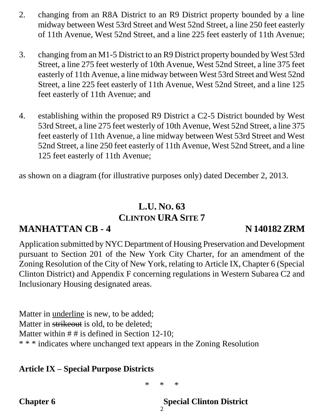- 2. changing from an R8A District to an R9 District property bounded by a line midway between West 53rd Street and West 52nd Street, a line 250 feet easterly of 11th Avenue, West 52nd Street, and a line 225 feet easterly of 11th Avenue;
- 3. changing from an M1-5 District to an R9 District property bounded by West 53rd Street, a line 275 feet westerly of 10th Avenue, West 52nd Street, a line 375 feet easterly of 11th Avenue, a line midway between West 53rd Street and West 52nd Street, a line 225 feet easterly of 11th Avenue, West 52nd Street, and a line 125 feet easterly of 11th Avenue; and
- 4. establishing within the proposed R9 District a C2-5 District bounded by West 53rd Street, a line 275 feet westerly of 10th Avenue, West 52nd Street, a line 375 feet easterly of 11th Avenue, a line midway between West 53rd Street and West 52nd Street, a line 250 feet easterly of 11th Avenue, West 52nd Street, and a line 125 feet easterly of 11th Avenue;

as shown on a diagram (for illustrative purposes only) dated December 2, 2013.

# **L.U. NO. 63 CLINTON URA SITE 7**

## **MANHATTAN CB - 4 N 140182 ZRM**

Application submitted by NYC Department of Housing Preservation and Development pursuant to Section 201 of the New York City Charter, for an amendment of the Zoning Resolution of the City of New York, relating to Article IX, Chapter 6 (Special Clinton District) and Appendix F concerning regulations in Western Subarea C2 and Inclusionary Housing designated areas.

Matter in underline is new, to be added; Matter in strikeout is old, to be deleted; Matter within  $# #$  is defined in Section 12-10; \* \* \* indicates where unchanged text appears in the Zoning Resolution

### **Article IX – Special Purpose Districts**

\* \* \*

**Chapter 6 Special Clinton District** 

2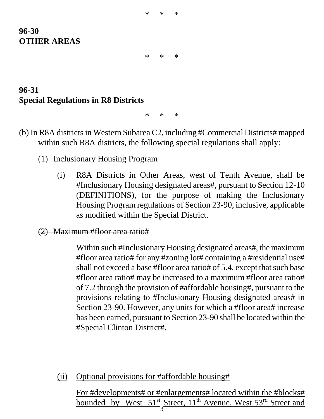| ∗ | $\ast$ | $\ast$ |
|---|--------|--------|
|   |        |        |

### **96-30 OTHER AREAS**

\* \* \*

## **96-31 Special Regulations in R8 Districts**

\* \* \*

- (b) In R8A districts in Western Subarea C2, including #Commercial Districts# mapped within such R8A districts, the following special regulations shall apply:
	- (1) Inclusionary Housing Program
		- (i) R8A Districts in Other Areas, west of Tenth Avenue, shall be #Inclusionary Housing designated areas#, pursuant to Section 12-10 (DEFINITIONS), for the purpose of making the Inclusionary Housing Program regulations of Section 23-90, inclusive, applicable as modified within the Special District.

#### (2) Maximum #floor area ratio#

Within such #Inclusionary Housing designated areas#, the maximum #floor area ratio# for any #zoning lot# containing a #residential use# shall not exceed a base #floor area ratio# of 5.4, except that such base #floor area ratio# may be increased to a maximum #floor area ratio# of 7.2 through the provision of #affordable housing#, pursuant to the provisions relating to #Inclusionary Housing designated areas# in Section 23-90. However, any units for which a #floor area# increase has been earned, pursuant to Section 23-90 shall be located within the #Special Clinton District#.

(ii) Optional provisions for #affordable housing#

For #developments# or #enlargements# located within the #blocks# bounded by West  $51^{st}$  Street,  $11^{th}$  Avenue, West  $53^{rd}$  Street and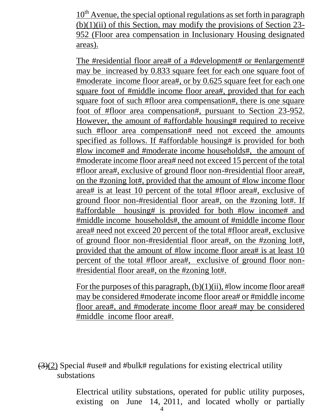$10<sup>th</sup>$  Avenue, the special optional regulations as set forth in paragraph  $(b)(1)(ii)$  of this Section, may modify the provisions of Section 23-952 (Floor area compensation in Inclusionary Housing designated areas).

The #residential floor area# of a #development# or #enlargement# may be increased by 0.833 square feet for each one square foot of #moderate income floor area#, or by 0.625 square feet for each one square foot of #middle income floor area#, provided that for each square foot of such #floor area compensation#, there is one square foot of #floor area compensation#, pursuant to Section 23-952. However, the amount of #affordable housing# required to receive such #floor area compensation# need not exceed the amounts specified as follows. If #affordable housing# is provided for both #low income# and #moderate income households#, the amount of #moderate income floor area# need not exceed 15 percent of the total #floor area#, exclusive of ground floor non-#residential floor area#, on the #zoning lot#, provided that the amount of #low income floor area# is at least 10 percent of the total #floor area#, exclusive of ground floor non-#residential floor area#, on the #zoning lot#. If #affordable housing# is provided for both #low income# and #middle income households#, the amount of #middle income floor area# need not exceed 20 percent of the total #floor area#, exclusive of ground floor non-#residential floor area#, on the #zoning lot#, provided that the amount of #low income floor area# is at least 10 percent of the total #floor area#, exclusive of ground floor non- #residential floor area#, on the #zoning lot#.

For the purposes of this paragraph,  $(b)(1)(ii)$ , #low income floor area# may be considered #moderate income floor area# or #middle income floor area#, and #moderate income floor area# may be considered #middle income floor area#.

 $(3)(2)$  Special #use# and #bulk# regulations for existing electrical utility substations

> Electrical utility substations, operated for public utility purposes, existing on June 14, 2011, and located wholly or partially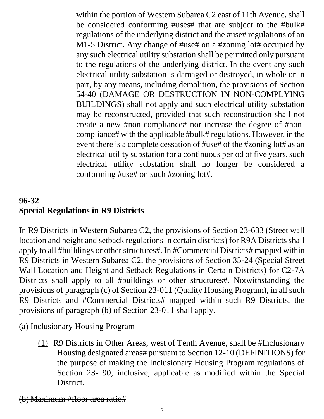within the portion of Western Subarea C2 east of 11th Avenue, shall be considered conforming #uses# that are subject to the #bulk# regulations of the underlying district and the #use# regulations of an M1-5 District. Any change of #use# on a #zoning lot# occupied by any such electrical utility substation shall be permitted only pursuant to the regulations of the underlying district. In the event any such electrical utility substation is damaged or destroyed, in whole or in part, by any means, including demolition, the provisions of Section 54-40 (DAMAGE OR DESTRUCTION IN NON-COMPLYING BUILDINGS) shall not apply and such electrical utility substation may be reconstructed, provided that such reconstruction shall not create a new #non-compliance# nor increase the degree of #noncompliance# with the applicable #bulk# regulations. However, in the event there is a complete cessation of #use# of the #zoning lot# as an electrical utility substation for a continuous period of five years, such electrical utility substation shall no longer be considered a conforming #use# on such #zoning lot#.

## **96-32 Special Regulations in R9 Districts**

In R9 Districts in Western Subarea C2, the provisions of Section 23-633 (Street wall location and height and setback regulations in certain districts) for R9A Districts shall apply to all #buildings or other structures#. In #Commercial Districts# mapped within R9 Districts in Western Subarea C2, the provisions of Section 35-24 (Special Street Wall Location and Height and Setback Regulations in Certain Districts) for C2-7A Districts shall apply to all #buildings or other structures#. Notwithstanding the provisions of paragraph (c) of Section 23-011 (Quality Housing Program), in all such R9 Districts and #Commercial Districts# mapped within such R9 Districts, the provisions of paragraph (b) of Section 23-011 shall apply.

(a) Inclusionary Housing Program

(1) R9 Districts in Other Areas, west of Tenth Avenue, shall be #Inclusionary Housing designated areas# pursuant to Section 12-10 (DEFINITIONS) for the purpose of making the Inclusionary Housing Program regulations of Section 23- 90, inclusive, applicable as modified within the Special District.

### (b) Maximum #floor area ratio#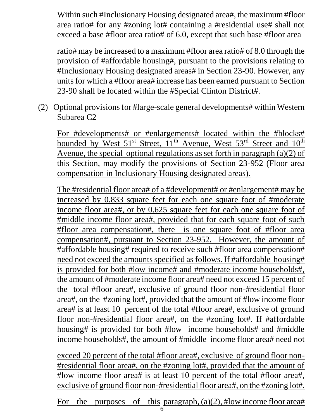Within such #Inclusionary Housing designated area#, the maximum #floor area ratio# for any #zoning lot# containing a #residential use# shall not exceed a base #floor area ratio# of 6.0, except that such base #floor area

ratio# may be increased to a maximum #floor area ratio# of 8.0 through the provision of #affordable housing#, pursuant to the provisions relating to #Inclusionary Housing designated areas# in Section 23-90. However, any units for which a #floor area# increase has been earned pursuant to Section 23-90 shall be located within the #Special Clinton District#.

(2) Optional provisions for #large-scale general developments# within Western Subarea C2

For #developments# or #enlargements# located within the #blocks# bounded by West  $51<sup>st</sup>$  Street,  $11<sup>th</sup>$  Avenue, West  $53<sup>rd</sup>$  Street and  $10<sup>th</sup>$ Avenue, the special optional regulations as set forth in paragraph (a)(2) of this Section, may modify the provisions of Section 23-952 (Floor area compensation in Inclusionary Housing designated areas).

The #residential floor area# of a #development# or #enlargement# may be increased by 0.833 square feet for each one square foot of #moderate income floor area#, or by 0.625 square feet for each one square foot of #middle income floor area#, provided that for each square foot of such #floor area compensation#, there is one square foot of #floor area compensation#, pursuant to Section 23-952. However, the amount of #affordable housing# required to receive such #floor area compensation# need not exceed the amounts specified as follows. If #affordable housing# is provided for both #low income# and #moderate income households#, the amount of #moderate income floor area# need not exceed 15 percent of the total #floor area#, exclusive of ground floor non-#residential floor area#, on the #zoning lot#, provided that the amount of #low income floor area# is at least 10 percent of the total #floor area#, exclusive of ground floor non-#residential floor area#, on the #zoning lot#. If #affordable housing# is provided for both #low income households# and #middle income households#, the amount of #middle income floor area# need not

exceed 20 percent of the total #floor area#, exclusive of ground floor non- #residential floor area#, on the #zoning lot#, provided that the amount of #low income floor area# is at least 10 percent of the total #floor area#, exclusive of ground floor non-#residential floor area#, on the #zoning lot#.

For the purposes of this paragraph,  $(a)(2)$ , #low income floor area#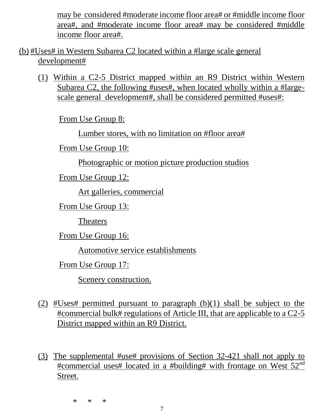may be considered #moderate income floor area# or #middle income floor area#, and #moderate income floor area# may be considered #middle income floor area#.

(b) #Uses# in Western Subarea C2 located within a #large scale general development#

(1) Within a C2-5 District mapped within an R9 District within Western Subarea C2, the following #uses#, when located wholly within a #largescale general development#, shall be considered permitted #uses#:

From Use Group 8:

Lumber stores, with no limitation on #floor area#

From Use Group 10:

Photographic or motion picture production studios

From Use Group 12:

Art galleries, commercial

From Use Group 13:

Theaters

From Use Group 16:

Automotive service establishments

From Use Group 17:

Scenery construction.

- (2) #Uses# permitted pursuant to paragraph  $(b)(1)$  shall be subject to the #commercial bulk# regulations of Article III, that are applicable to a C2-5 District mapped within an R9 District.
- (3) The supplemental #use# provisions of Section 32-421 shall not apply to  $\frac{\text{H}\text{commercial uses}\# \text{located in a }\# \text{building}\# \text{ with frontage on West 52}^{\text{nd}}$ Street.

\* \* \*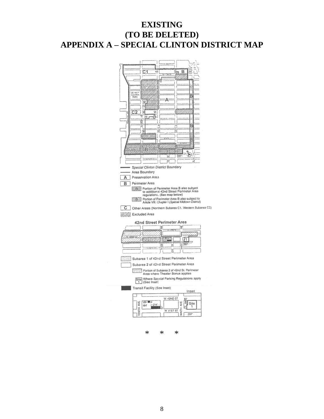#### **EXISTING** (TO BE DELETED) **APPENDIX A - SPECIAL CLINTON DISTRICT MAP**

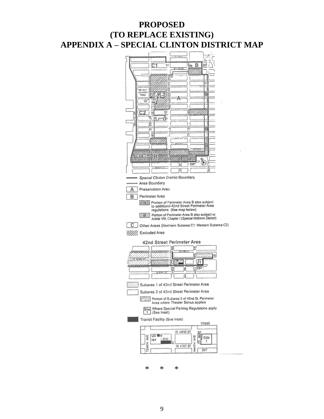#### **PROPOSED** (TO REPLACE EXISTING) **APPENDIX A - SPECIAL CLINTON DISTRICT MAP**

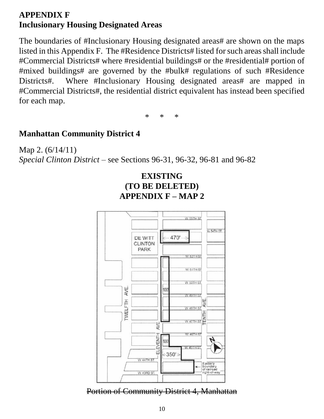### **APPENDIX F Inclusionary Housing Designated Areas**

The boundaries of #Inclusionary Housing designated areas# are shown on the maps listed in this Appendix F. The #Residence Districts# listed for such areas shall include #Commercial Districts# where #residential buildings# or the #residential# portion of #mixed buildings# are governed by the #bulk# regulations of such #Residence Districts#. Where #Inclusionary Housing designated areas# are mapped in #Commercial Districts#, the residential district equivalent has instead been specified for each map.

\* \* \*

#### **Manhattan Community District 4**

Map 2. (6/14/11) *Special Clinton District* – see Sections 96-31, 96-32, 96-81 and 96-82





Portion of Community District 4, Manhattan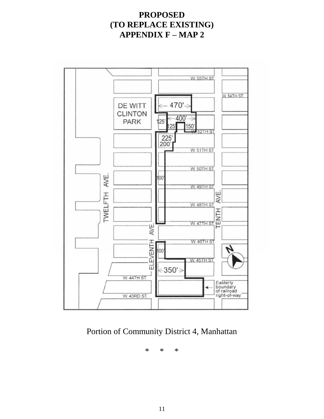### **PROPOSED** (TO REPLACE EXISTING) **APPENDIX**  $F$  **– MAP 2**



Portion of Community District 4, Manhattan

 $\ast$  $\ast$  $\ast$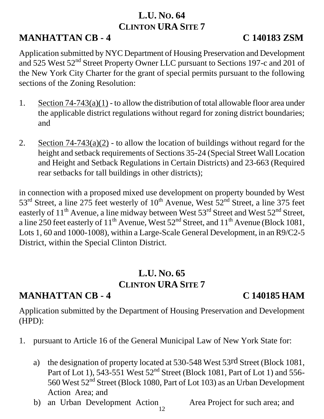## **L.U. NO. 64 CLINTON URA SITE 7**

# **MANHATTAN CB - 4 C 140183 ZSM**

Application submitted by NYC Department of Housing Preservation and Development and 525 West 52<sup>nd</sup> Street Property Owner LLC pursuant to Sections 197-c and 201 of the New York City Charter for the grant of special permits pursuant to the following sections of the Zoning Resolution:

- 1. Section  $74-743(a)(1)$  to allow the distribution of total allowable floor area under the applicable district regulations without regard for zoning district boundaries; and
- 2. Section  $74-743(a)(2)$  to allow the location of buildings without regard for the height and setback requirements of Sections 35-24 (Special Street Wall Location and Height and Setback Regulations in Certain Districts) and 23-663 (Required rear setbacks for tall buildings in other districts);

in connection with a proposed mixed use development on property bounded by West  $53<sup>rd</sup>$  Street, a line 275 feet westerly of  $10<sup>th</sup>$  Avenue, West  $52<sup>nd</sup>$  Street, a line 375 feet easterly of  $11<sup>th</sup>$  Avenue, a line midway between West  $53<sup>rd</sup>$  Street and West  $52<sup>nd</sup>$  Street, a line 250 feet easterly of  $11<sup>th</sup>$  Avenue, West  $52<sup>nd</sup>$  Street, and  $11<sup>th</sup>$  Avenue (Block 1081, Lots 1, 60 and 1000-1008), within a Large-Scale General Development, in an R9/C2-5 District, within the Special Clinton District.

## **L.U. NO. 65 CLINTON URA SITE 7**

## **MANHATTAN CB - 4 C 140185 HAM**

Application submitted by the Department of Housing Preservation and Development (HPD):

- 1. pursuant to Article 16 of the General Municipal Law of New York State for:
	- a) the designation of property located at 530-548 West 53rd Street (Block 1081, Part of Lot 1),  $543-551$  West  $52<sup>nd</sup>$  Street (Block 1081, Part of Lot 1) and  $556-$ 560 West  $52<sup>nd</sup>$  Street (Block 1080, Part of Lot 103) as an Urban Development Action Area; and
	- b) an Urban Development Action Area Project for such area; and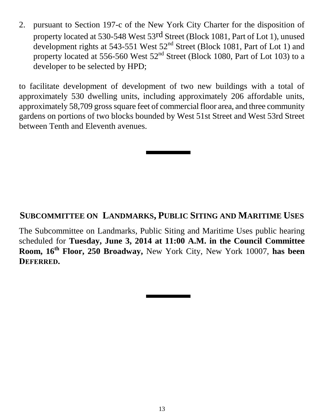2. pursuant to Section 197-c of the New York City Charter for the disposition of property located at 530-548 West 53rd Street (Block 1081, Part of Lot 1), unused development rights at 543-551 West 52nd Street (Block 1081, Part of Lot 1) and property located at 556-560 West 52<sup>nd</sup> Street (Block 1080, Part of Lot 103) to a developer to be selected by HPD;

to facilitate development of development of two new buildings with a total of approximately 530 dwelling units, including approximately 206 affordable units, approximately 58,709 gross square feet of commercial floor area, and three community gardens on portions of two blocks bounded by West 51st Street and West 53rd Street between Tenth and Eleventh avenues.

### **SUBCOMMITTEE ON LANDMARKS, PUBLIC SITING AND MARITIME USES**

The Subcommittee on Landmarks, Public Siting and Maritime Uses public hearing scheduled for **Tuesday, June 3, 2014 at 11:00 A.M. in the Council Committee Room, 16th Floor, 250 Broadway,** New York City, New York 10007, **has been DEFERRED.**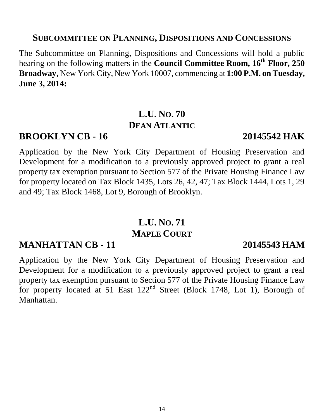#### **SUBCOMMITTEE ON PLANNING, DISPOSITIONS AND CONCESSIONS**

The Subcommittee on Planning, Dispositions and Concessions will hold a public hearing on the following matters in the **Council Committee Room, 16th Floor, 250 Broadway,** New York City, New York 10007, commencing at **1:00 P.M. on Tuesday, June 3, 2014:**

## **L.U. NO. 70 DEAN ATLANTIC**

### **BROOKLYN CB - 16 20145542 HAK**

Application by the New York City Department of Housing Preservation and Development for a modification to a previously approved project to grant a real property tax exemption pursuant to Section 577 of the Private Housing Finance Law for property located on Tax Block 1435, Lots 26, 42, 47; Tax Block 1444, Lots 1, 29 and 49; Tax Block 1468, Lot 9, Borough of Brooklyn.

## **L.U. NO. 71 MAPLE COURT**

### **MANHATTAN CB - 11 20145543 HAM**

Application by the New York City Department of Housing Preservation and Development for a modification to a previously approved project to grant a real property tax exemption pursuant to Section 577 of the Private Housing Finance Law for property located at 51 East 122nd Street (Block 1748, Lot 1), Borough of Manhattan.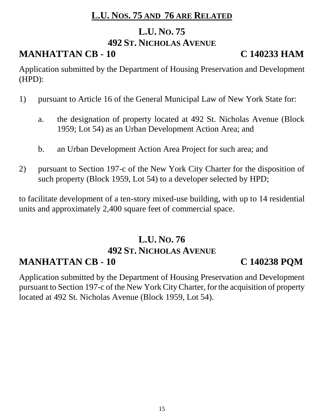## **L.U. NOS. 75 AND 76 ARE RELATED**

### **L.U. NO. 75**

### **492 ST. NICHOLAS AVENUE**

# **MANHATTAN CB - 10 C 140233 HAM**

Application submitted by the Department of Housing Preservation and Development (HPD):

- 1) pursuant to Article 16 of the General Municipal Law of New York State for:
	- a. the designation of property located at 492 St. Nicholas Avenue (Block 1959; Lot 54) as an Urban Development Action Area; and
	- b. an Urban Development Action Area Project for such area; and
- 2) pursuant to Section 197-c of the New York City Charter for the disposition of such property (Block 1959, Lot 54) to a developer selected by HPD;

to facilitate development of a ten-story mixed-use building, with up to 14 residential units and approximately 2,400 square feet of commercial space.

## **L.U. NO. 76 492 ST. NICHOLAS AVENUE MANHATTAN CB - 10 C 140238 PQM**

Application submitted by the Department of Housing Preservation and Development pursuant to Section 197-c of the New York City Charter, for the acquisition of property located at 492 St. Nicholas Avenue (Block 1959, Lot 54).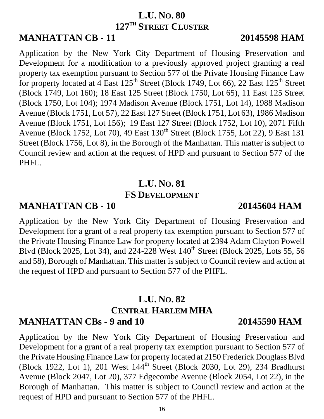16

## **L.U. NO. 80 127TH STREET CLUSTER**

# **MANHATTAN CB - 11 20145598 HAM**

Application by the New York City Department of Housing Preservation and Development for a modification to a previously approved project granting a real property tax exemption pursuant to Section 577 of the Private Housing Finance Law for property located at 4 East  $125<sup>th</sup>$  Street (Block 1749, Lot 66), 22 East  $125<sup>th</sup>$  Street (Block 1749, Lot 160); 18 East 125 Street (Block 1750, Lot 65), 11 East 125 Street (Block 1750, Lot 104); 1974 Madison Avenue (Block 1751, Lot 14), 1988 Madison Avenue (Block 1751, Lot 57), 22 East 127 Street (Block 1751, Lot 63), 1986 Madison Avenue (Block 1751, Lot 156); 19 East 127 Street (Block 1752, Lot 10), 2071 Fifth Avenue (Block 1752, Lot 70), 49 East 130<sup>th</sup> Street (Block 1755, Lot 22), 9 East 131 Street (Block 1756, Lot 8), in the Borough of the Manhattan. This matter is subject to Council review and action at the request of HPD and pursuant to Section 577 of the PHFL.

# **L.U. NO. 81 FS DEVELOPMENT**

## **MANHATTAN CB - 10 20145604 HAM**

Application by the New York City Department of Housing Preservation and Development for a grant of a real property tax exemption pursuant to Section 577 of the Private Housing Finance Law for property located at 2394 Adam Clayton Powell Blvd (Block 2025, Lot 34), and 224-228 West  $140^{th}$  Street (Block 2025, Lots 55, 56 and 58), Borough of Manhattan. This matter is subject to Council review and action at the request of HPD and pursuant to Section 577 of the PHFL.

## **L.U. NO. 82 CENTRAL HARLEM MHA MANHATTAN CBs - 9 and 10 20145590 HAM**

Application by the New York City Department of Housing Preservation and Development for a grant of a real property tax exemption pursuant to Section 577 of the Private Housing Finance Law for property located at 2150 Frederick Douglass Blvd (Block 1922, Lot 1), 201 West 144<sup>th</sup> Street (Block 2030, Lot 29), 234 Bradhurst Avenue (Block 2047, Lot 20), 377 Edgecombe Avenue (Block 2054, Lot 22), in the Borough of Manhattan. This matter is subject to Council review and action at the request of HPD and pursuant to Section 577 of the PHFL.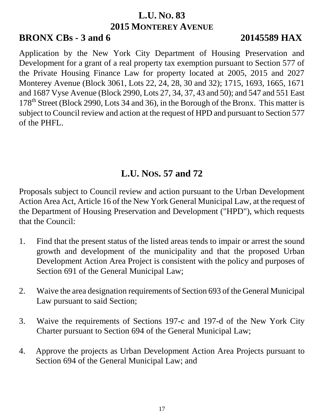## **L.U. NO. 83 2015 MONTEREY AVENUE**

## **BRONX CBs - 3 and 6 20145589 HAX**

Application by the New York City Department of Housing Preservation and Development for a grant of a real property tax exemption pursuant to Section 577 of the Private Housing Finance Law for property located at 2005, 2015 and 2027 Monterey Avenue (Block 3061, Lots 22, 24, 28, 30 and 32); 1715, 1693, 1665, 1671 and 1687 Vyse Avenue (Block 2990, Lots 27, 34, 37, 43 and 50); and 547 and 551 East  $178<sup>th</sup>$  Street (Block 2990, Lots 34 and 36), in the Borough of the Bronx. This matter is subject to Council review and action at the request of HPD and pursuant to Section 577 of the PHFL.

# **L.U. NOS. 57 and 72**

Proposals subject to Council review and action pursuant to the Urban Development Action Area Act, Article 16 of the New York General Municipal Law, at the request of the Department of Housing Preservation and Development ("HPD"), which requests that the Council:

- 1. Find that the present status of the listed areas tends to impair or arrest the sound growth and development of the municipality and that the proposed Urban Development Action Area Project is consistent with the policy and purposes of Section 691 of the General Municipal Law;
- 2. Waive the area designation requirements of Section 693 of the General Municipal Law pursuant to said Section;
- 3. Waive the requirements of Sections 197-c and 197-d of the New York City Charter pursuant to Section 694 of the General Municipal Law;
- 4. Approve the projects as Urban Development Action Area Projects pursuant to Section 694 of the General Municipal Law; and